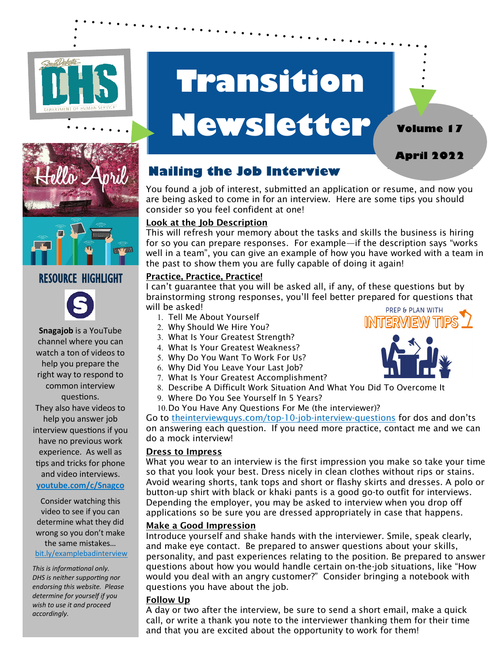



# **Newsletter**



**April 2022**

**Volume 17**



## RESOURCE HIGHLIGHT



**Snagajob** is a YouTube channel where you can watch a ton of videos to help you prepare the right way to respond to common interview questions. They also have videos to help you answer job interview questions if you have no previous work experience. As well as

and video interviews.

tips and tricks for phone

### **youtube.com/c/Snagco**

Consider watching this video to see if you can determine what they did wrong so you don't make the same mistakes… bit.ly/examplebadinterview

*This is informational only. DHS is neither supporting nor endorsing this website. Please determine for yourself if you wish to use it and proceed accordingly.* 

# **Nailing the Job Interview**

You found a job of interest, submitted an application or resume, and now you are being asked to come in for an interview. Here are some tips you should consider so you feel confident at one!

#### Look at the Job Description

This will refresh your memory about the tasks and skills the business is hiring for so you can prepare responses. For example—if the description says "works well in a team", you can give an example of how you have worked with a team in the past to show them you are fully capable of doing it again!

#### Practice, Practice, Practice!

I can't guarantee that you will be asked all, if any, of these questions but by brainstorming strong responses, you'll feel better prepared for questions that will be asked!

- 1. Tell Me About Yourself
- Why Should We Hire You?
- What Is Your Greatest Strength?
- What Is Your Greatest Weakness?
- Why Do You Want To Work For Us?
- Why Did You Leave Your Last Job?
- 7. What Is Your Greatest Accomplishment?
- Describe A Difficult Work Situation And What You Did To Overcome It
- Where Do You See Yourself In 5 Years?
- 10. Do You Have Any Questions For Me (the interviewer)?

Go to theinterviewguys.com/top-10-job-interview-questions for dos and don'ts on answering each question. If you need more practice, contact me and we can do a mock interview!

#### Dress to Impress

What you wear to an interview is the first impression you make so take your time so that you look your best. Dress nicely in clean clothes without rips or stains. Avoid wearing shorts, tank tops and short or flashy skirts and dresses. A polo or button-up shirt with black or khaki pants is a good go-to outfit for interviews. Depending the employer, you may be asked to interview when you drop off applications so be sure you are dressed appropriately in case that happens.

#### Make a Good Impression

Introduce yourself and shake hands with the interviewer. Smile, speak clearly, and make eye contact. Be prepared to answer questions about your skills, personality, and past experiences relating to the position. Be prepared to answer questions about how you would handle certain on-the-job situations, like "How would you deal with an angry customer?" Consider bringing a notebook with questions you have about the job.

#### Follow Up

A day or two after the interview, be sure to send a short email, make a quick call, or write a thank you note to the interviewer thanking them for their time and that you are excited about the opportunity to work for them!